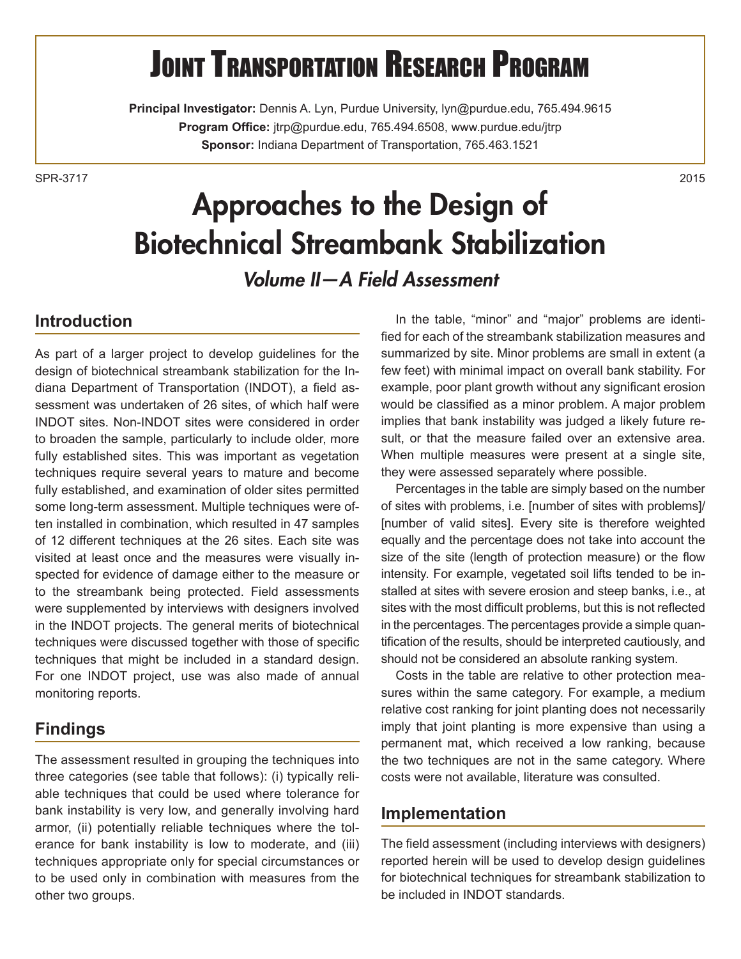# **JOINT TRANSPORTATION RESEARCH PROGRAM**

**Principal Investigator:** Dennis A. Lyn, Purdue University, lyn@purdue.edu, 765.494.9615 **Program Office:** jtrp@purdue.edu, 765.494.6508, www.purdue.edu/jtrp **Sponsor:** Indiana Department of Transportation, 765.463.1521

SPR-37172015

# Approaches to the Design of Biotechnical Streambank Stabilization

*Volume II—A Field Assessment*

### **Introduction**

As part of a larger project to develop guidelines for the design of biotechnical streambank stabilization for the Indiana Department of Transportation (INDOT), a field assessment was undertaken of 26 sites, of which half were INDOT sites. Non-INDOT sites were considered in order to broaden the sample, particularly to include older, more fully established sites. This was important as vegetation techniques require several years to mature and become fully established, and examination of older sites permitted some long-term assessment. Multiple techniques were often installed in combination, which resulted in 47 samples of 12 different techniques at the 26 sites. Each site was visited at least once and the measures were visually inspected for evidence of damage either to the measure or to the streambank being protected. Field assessments were supplemented by interviews with designers involved in the INDOT projects. The general merits of biotechnical techniques were discussed together with those of specific techniques that might be included in a standard design. For one INDOT project, use was also made of annual monitoring reports.

#### **Findings**

The assessment resulted in grouping the techniques into three categories (see table that follows): (i) typically reliable techniques that could be used where tolerance for bank instability is very low, and generally involving hard armor, (ii) potentially reliable techniques where the tolerance for bank instability is low to moderate, and (iii) techniques appropriate only for special circumstances or to be used only in combination with measures from the other two groups.

In the table, "minor" and "major" problems are identified for each of the streambank stabilization measures and summarized by site. Minor problems are small in extent (a few feet) with minimal impact on overall bank stability. For example, poor plant growth without any significant erosion would be classified as a minor problem. A major problem implies that bank instability was judged a likely future result, or that the measure failed over an extensive area. When multiple measures were present at a single site, they were assessed separately where possible.

Percentages in the table are simply based on the number of sites with problems, i.e. [number of sites with problems]/ [number of valid sites]. Every site is therefore weighted equally and the percentage does not take into account the size of the site (length of protection measure) or the flow intensity. For example, vegetated soil lifts tended to be installed at sites with severe erosion and steep banks, i.e., at sites with the most difficult problems, but this is not reflected in the percentages. The percentages provide a simple quantification of the results, should be interpreted cautiously, and should not be considered an absolute ranking system.

Costs in the table are relative to other protection measures within the same category. For example, a medium relative cost ranking for joint planting does not necessarily imply that joint planting is more expensive than using a permanent mat, which received a low ranking, because the two techniques are not in the same category. Where costs were not available, literature was consulted.

#### **Implementation**

The field assessment (including interviews with designers) reported herein will be used to develop design guidelines for biotechnical techniques for streambank stabilization to be included in INDOT standards.